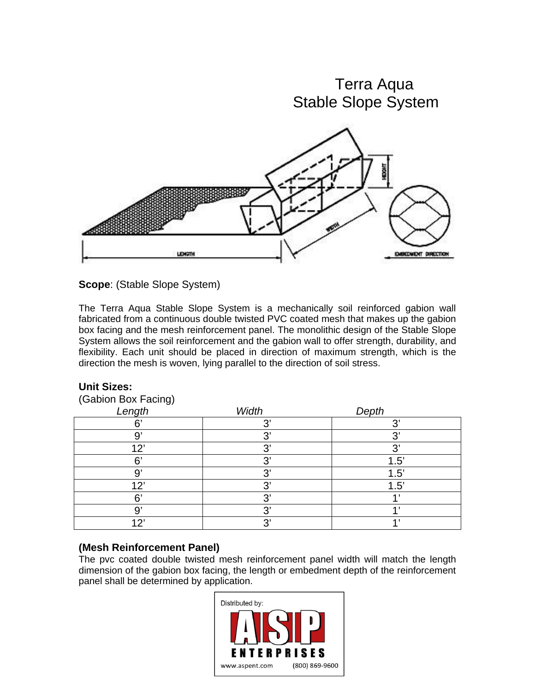

**Scope**: (Stable Slope System)

The Terra Aqua Stable Slope System is a mechanically soil reinforced gabion wall fabricated from a continuous double twisted PVC coated mesh that makes up the gabion box facing and the mesh reinforcement panel. The monolithic design of the Stable Slope System allows the soil reinforcement and the gabion wall to offer strength, durability, and flexibility. Each unit should be placed in direction of maximum strength, which is the direction the mesh is woven, lying parallel to the direction of soil stress.

## **Unit Sizes:**

| (Gabion Box Facing)<br>Length | Width     | Depth |
|-------------------------------|-----------|-------|
| C'                            | יכי       | ົາ    |
| g                             | יכי       | יכי   |
| 12'                           | $\bigcap$ | C.    |
| 6'                            | יכי       | 1.5'  |
| U,                            | بو.       | 1.5'  |
| 12'                           | יר        | 1.5'  |
| 6'                            | יר        |       |
| n,                            | ົ         |       |
| 1つ'                           | ົ         |       |

(Gabion Box Facing)

### **(Mesh Reinforcement Panel)**

The pvc coated double twisted mesh reinforcement panel width will match the length dimension of the gabion box facing, the length or embedment depth of the reinforcement panel shall be determined by application.

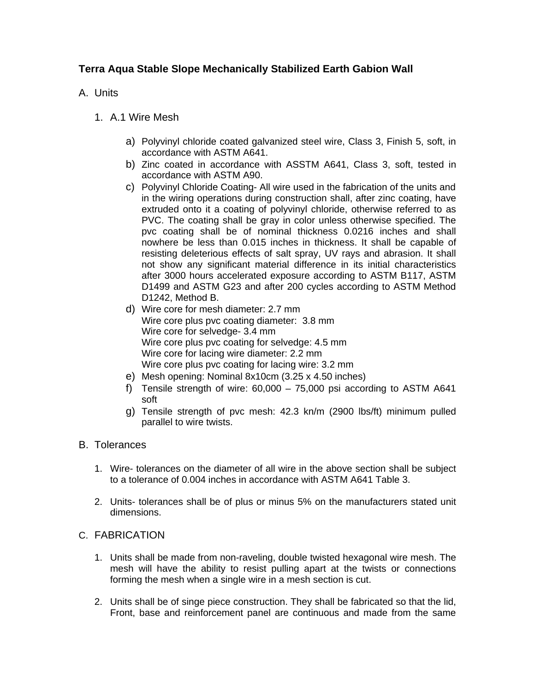# **Terra Aqua Stable Slope Mechanically Stabilized Earth Gabion Wall**

## A. Units

- 1. A.1 Wire Mesh
	- a) Polyvinyl chloride coated galvanized steel wire, Class 3, Finish 5, soft, in accordance with ASTM A641.
	- b) Zinc coated in accordance with ASSTM A641, Class 3, soft, tested in accordance with ASTM A90.
	- c) Polyvinyl Chloride Coating- All wire used in the fabrication of the units and in the wiring operations during construction shall, after zinc coating, have extruded onto it a coating of polyvinyl chloride, otherwise referred to as PVC. The coating shall be gray in color unless otherwise specified. The pvc coating shall be of nominal thickness 0.0216 inches and shall nowhere be less than 0.015 inches in thickness. It shall be capable of resisting deleterious effects of salt spray, UV rays and abrasion. It shall not show any significant material difference in its initial characteristics after 3000 hours accelerated exposure according to ASTM B117, ASTM D1499 and ASTM G23 and after 200 cycles according to ASTM Method D1242, Method B.
	- d) Wire core for mesh diameter: 2.7 mm Wire core plus pvc coating diameter: 3.8 mm Wire core for selvedge- 3.4 mm Wire core plus pvc coating for selvedge: 4.5 mm Wire core for lacing wire diameter: 2.2 mm Wire core plus pvc coating for lacing wire: 3.2 mm
	- e) Mesh opening: Nominal 8x10cm (3.25 x 4.50 inches)
	- f) Tensile strength of wire: 60,000 75,000 psi according to ASTM A641 soft
	- g) Tensile strength of pvc mesh: 42.3 kn/m (2900 lbs/ft) minimum pulled parallel to wire twists.

### B. Tolerances

- 1. Wire- tolerances on the diameter of all wire in the above section shall be subject to a tolerance of 0.004 inches in accordance with ASTM A641 Table 3.
- 2. Units- tolerances shall be of plus or minus 5% on the manufacturers stated unit dimensions.

### C. FABRICATION

- 1. Units shall be made from non-raveling, double twisted hexagonal wire mesh. The mesh will have the ability to resist pulling apart at the twists or connections forming the mesh when a single wire in a mesh section is cut.
- 2. Units shall be of singe piece construction. They shall be fabricated so that the lid, Front, base and reinforcement panel are continuous and made from the same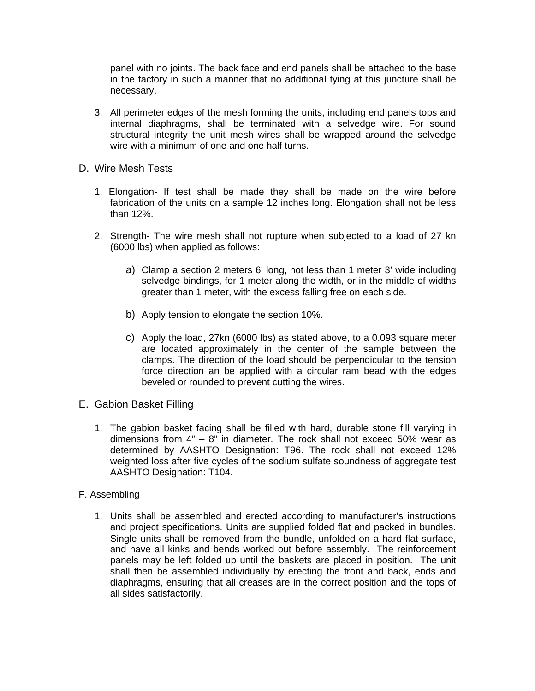panel with no joints. The back face and end panels shall be attached to the base in the factory in such a manner that no additional tying at this juncture shall be necessary.

- 3. All perimeter edges of the mesh forming the units, including end panels tops and internal diaphragms, shall be terminated with a selvedge wire. For sound structural integrity the unit mesh wires shall be wrapped around the selvedge wire with a minimum of one and one half turns.
- D. Wire Mesh Tests
	- 1. Elongation- If test shall be made they shall be made on the wire before fabrication of the units on a sample 12 inches long. Elongation shall not be less than 12%.
	- 2. Strength- The wire mesh shall not rupture when subjected to a load of 27 kn (6000 lbs) when applied as follows:
		- a) Clamp a section 2 meters 6' long, not less than 1 meter 3' wide including selvedge bindings, for 1 meter along the width, or in the middle of widths greater than 1 meter, with the excess falling free on each side.
		- b) Apply tension to elongate the section 10%.
		- c) Apply the load, 27kn (6000 lbs) as stated above, to a 0.093 square meter are located approximately in the center of the sample between the clamps. The direction of the load should be perpendicular to the tension force direction an be applied with a circular ram bead with the edges beveled or rounded to prevent cutting the wires.
- E. Gabion Basket Filling
	- 1. The gabion basket facing shall be filled with hard, durable stone fill varying in dimensions from  $4" - 8"$  in diameter. The rock shall not exceed 50% wear as determined by AASHTO Designation: T96. The rock shall not exceed 12% weighted loss after five cycles of the sodium sulfate soundness of aggregate test AASHTO Designation: T104.

#### F. Assembling

1. Units shall be assembled and erected according to manufacturer's instructions and project specifications. Units are supplied folded flat and packed in bundles. Single units shall be removed from the bundle, unfolded on a hard flat surface, and have all kinks and bends worked out before assembly. The reinforcement panels may be left folded up until the baskets are placed in position. The unit shall then be assembled individually by erecting the front and back, ends and diaphragms, ensuring that all creases are in the correct position and the tops of all sides satisfactorily.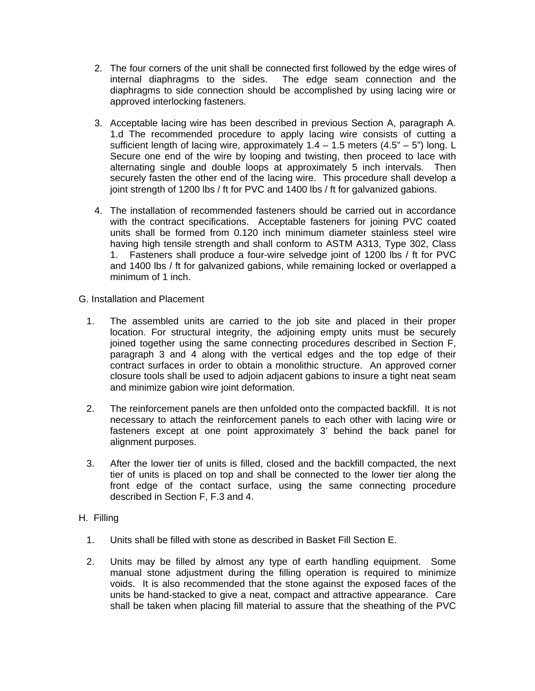- 2. The four corners of the unit shall be connected first followed by the edge wires of internal diaphragms to the sides. The edge seam connection and the diaphragms to side connection should be accomplished by using lacing wire or approved interlocking fasteners.
- 3. Acceptable lacing wire has been described in previous Section A, paragraph A. 1.d The recommended procedure to apply lacing wire consists of cutting a sufficient length of lacing wire, approximately  $1.4 - 1.5$  meters  $(4.5<sup>n</sup> - 5<sup>n</sup>)$  long. L Secure one end of the wire by looping and twisting, then proceed to lace with alternating single and double loops at approximately 5 inch intervals. Then securely fasten the other end of the lacing wire. This procedure shall develop a joint strength of 1200 lbs / ft for PVC and 1400 lbs / ft for galvanized gabions.
- 4. The installation of recommended fasteners should be carried out in accordance with the contract specifications. Acceptable fasteners for joining PVC coated units shall be formed from 0.120 inch minimum diameter stainless steel wire having high tensile strength and shall conform to ASTM A313, Type 302, Class 1. Fasteners shall produce a four-wire selvedge joint of 1200 lbs / ft for PVC and 1400 lbs / ft for galvanized gabions, while remaining locked or overlapped a minimum of 1 inch.

G. Installation and Placement

- 1. The assembled units are carried to the job site and placed in their proper location. For structural integrity, the adjoining empty units must be securely joined together using the same connecting procedures described in Section F, paragraph 3 and 4 along with the vertical edges and the top edge of their contract surfaces in order to obtain a monolithic structure. An approved corner closure tools shall be used to adjoin adjacent gabions to insure a tight neat seam and minimize gabion wire joint deformation.
- 2. The reinforcement panels are then unfolded onto the compacted backfill. It is not necessary to attach the reinforcement panels to each other with lacing wire or fasteners except at one point approximately 3' behind the back panel for alignment purposes.
- 3. After the lower tier of units is filled, closed and the backfill compacted, the next tier of units is placed on top and shall be connected to the lower tier along the front edge of the contact surface, using the same connecting procedure described in Section F, F.3 and 4.

### H. Filling

- 1. Units shall be filled with stone as described in Basket Fill Section E.
- 2. Units may be filled by almost any type of earth handling equipment. Some manual stone adjustment during the filling operation is required to minimize voids. It is also recommended that the stone against the exposed faces of the units be hand-stacked to give a neat, compact and attractive appearance. Care shall be taken when placing fill material to assure that the sheathing of the PVC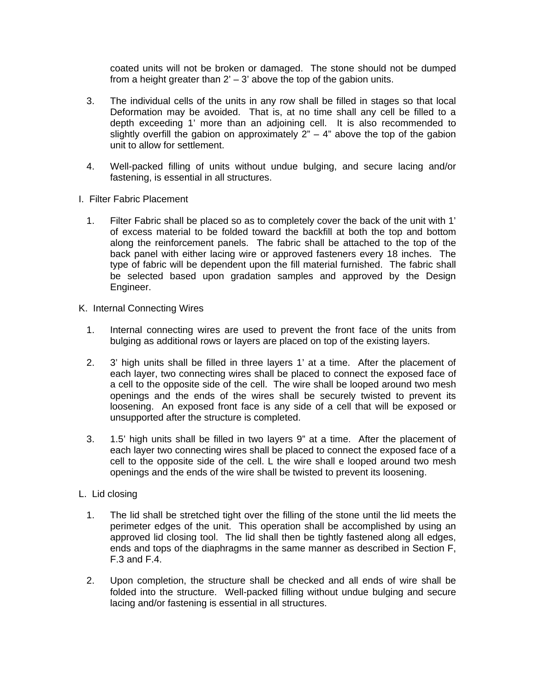coated units will not be broken or damaged. The stone should not be dumped from a height greater than  $2' - 3'$  above the top of the gabion units.

- 3. The individual cells of the units in any row shall be filled in stages so that local Deformation may be avoided. That is, at no time shall any cell be filled to a depth exceeding 1' more than an adjoining cell. It is also recommended to slightly overfill the gabion on approximately  $2" - 4"$  above the top of the gabion unit to allow for settlement.
- 4. Well-packed filling of units without undue bulging, and secure lacing and/or fastening, is essential in all structures.
- I. Filter Fabric Placement
	- 1. Filter Fabric shall be placed so as to completely cover the back of the unit with 1' of excess material to be folded toward the backfill at both the top and bottom along the reinforcement panels. The fabric shall be attached to the top of the back panel with either lacing wire or approved fasteners every 18 inches. The type of fabric will be dependent upon the fill material furnished. The fabric shall be selected based upon gradation samples and approved by the Design Engineer.
- K. Internal Connecting Wires
	- 1. Internal connecting wires are used to prevent the front face of the units from bulging as additional rows or layers are placed on top of the existing layers.
	- 2. 3' high units shall be filled in three layers 1' at a time. After the placement of each layer, two connecting wires shall be placed to connect the exposed face of a cell to the opposite side of the cell. The wire shall be looped around two mesh openings and the ends of the wires shall be securely twisted to prevent its loosening. An exposed front face is any side of a cell that will be exposed or unsupported after the structure is completed.
	- 3. 1.5' high units shall be filled in two layers 9" at a time. After the placement of each layer two connecting wires shall be placed to connect the exposed face of a cell to the opposite side of the cell. L the wire shall e looped around two mesh openings and the ends of the wire shall be twisted to prevent its loosening.

## L. Lid closing

- 1. The lid shall be stretched tight over the filling of the stone until the lid meets the perimeter edges of the unit. This operation shall be accomplished by using an approved lid closing tool. The lid shall then be tightly fastened along all edges, ends and tops of the diaphragms in the same manner as described in Section F, F.3 and F.4.
- 2. Upon completion, the structure shall be checked and all ends of wire shall be folded into the structure. Well-packed filling without undue bulging and secure lacing and/or fastening is essential in all structures.